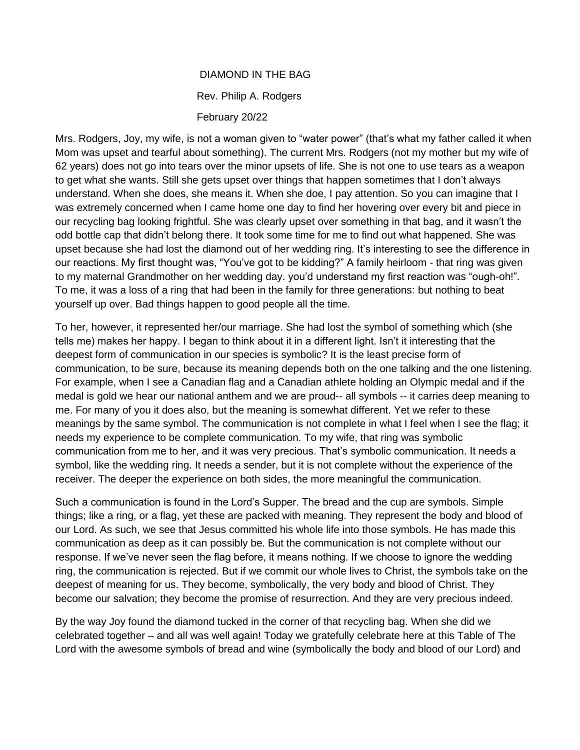## DIAMOND IN THE BAG Rev. Philip A. Rodgers February 20/22

Mrs. Rodgers, Joy, my wife, is not a woman given to "water power" (that's what my father called it when Mom was upset and tearful about something). The current Mrs. Rodgers (not my mother but my wife of 62 years) does not go into tears over the minor upsets of life. She is not one to use tears as a weapon to get what she wants. Still she gets upset over things that happen sometimes that I don't always understand. When she does, she means it. When she doe, I pay attention. So you can imagine that I was extremely concerned when I came home one day to find her hovering over every bit and piece in our recycling bag looking frightful. She was clearly upset over something in that bag, and it wasn't the odd bottle cap that didn't belong there. It took some time for me to find out what happened. She was upset because she had lost the diamond out of her wedding ring. It's interesting to see the difference in our reactions. My first thought was, "You've got to be kidding?" A family heirloom - that ring was given to my maternal Grandmother on her wedding day. you'd understand my first reaction was "ough-oh!". To me, it was a loss of a ring that had been in the family for three generations: but nothing to beat yourself up over. Bad things happen to good people all the time.

To her, however, it represented her/our marriage. She had lost the symbol of something which (she tells me) makes her happy. I began to think about it in a different light. Isn't it interesting that the deepest form of communication in our species is symbolic? It is the least precise form of communication, to be sure, because its meaning depends both on the one talking and the one listening. For example, when I see a Canadian flag and a Canadian athlete holding an Olympic medal and if the medal is gold we hear our national anthem and we are proud-- all symbols -- it carries deep meaning to me. For many of you it does also, but the meaning is somewhat different. Yet we refer to these meanings by the same symbol. The communication is not complete in what I feel when I see the flag; it needs my experience to be complete communication. To my wife, that ring was symbolic communication from me to her, and it was very precious. That's symbolic communication. It needs a symbol, like the wedding ring. It needs a sender, but it is not complete without the experience of the receiver. The deeper the experience on both sides, the more meaningful the communication.

Such a communication is found in the Lord's Supper. The bread and the cup are symbols. Simple things; like a ring, or a flag, yet these are packed with meaning. They represent the body and blood of our Lord. As such, we see that Jesus committed his whole life into those symbols. He has made this communication as deep as it can possibly be. But the communication is not complete without our response. If we've never seen the flag before, it means nothing. If we choose to ignore the wedding ring, the communication is rejected. But if we commit our whole lives to Christ, the symbols take on the deepest of meaning for us. They become, symbolically, the very body and blood of Christ. They become our salvation; they become the promise of resurrection. And they are very precious indeed.

By the way Joy found the diamond tucked in the corner of that recycling bag. When she did we celebrated together – and all was well again! Today we gratefully celebrate here at this Table of The Lord with the awesome symbols of bread and wine (symbolically the body and blood of our Lord) and